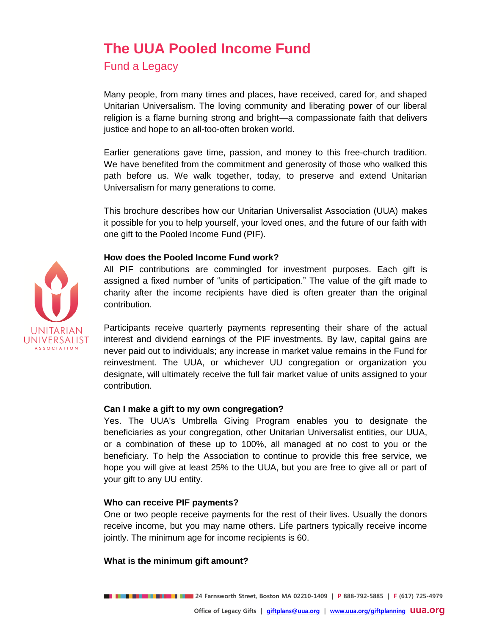# **The UUA Pooled Income Fund**

Fund a Legacy

Many people, from many times and places, have received, cared for, and shaped Unitarian Universalism. The loving community and liberating power of our liberal religion is a flame burning strong and bright—a compassionate faith that delivers justice and hope to an all-too-often broken world.

Earlier generations gave time, passion, and money to this free-church tradition. We have benefited from the commitment and generosity of those who walked this path before us. We walk together, today, to preserve and extend Unitarian Universalism for many generations to come.

This brochure describes how our Unitarian Universalist Association (UUA) makes it possible for you to help yourself, your loved ones, and the future of our faith with one gift to the Pooled Income Fund (PIF).

# **How does the Pooled Income Fund work?**

All PIF contributions are commingled for investment purposes. Each gift is assigned a fixed number of "units of participation." The value of the gift made to charity after the income recipients have died is often greater than the original contribution.

Participants receive quarterly payments representing their share of the actual interest and dividend earnings of the PIF investments. By law, capital gains are never paid out to individuals; any increase in market value remains in the Fund for reinvestment. The UUA, or whichever UU congregation or organization you designate, will ultimately receive the full fair market value of units assigned to your contribution.

## **Can I make a gift to my own congregation?**

Yes. The UUA's Umbrella Giving Program enables you to designate the beneficiaries as your congregation, other Unitarian Universalist entities, our UUA, or a combination of these up to 100%, all managed at no cost to you or the beneficiary. To help the Association to continue to provide this free service, we hope you will give at least 25% to the UUA, but you are free to give all or part of your gift to any UU entity.

# **Who can receive PIF payments?**

One or two people receive payments for the rest of their lives. Usually the donors receive income, but you may name others. Life partners typically receive income jointly. The minimum age for income recipients is 60.

## **What is the minimum gift amount?**

**24 Farnsworth Street, Boston MA 02210-1409 | P 888-792-5885 | F (617) 725-4979**